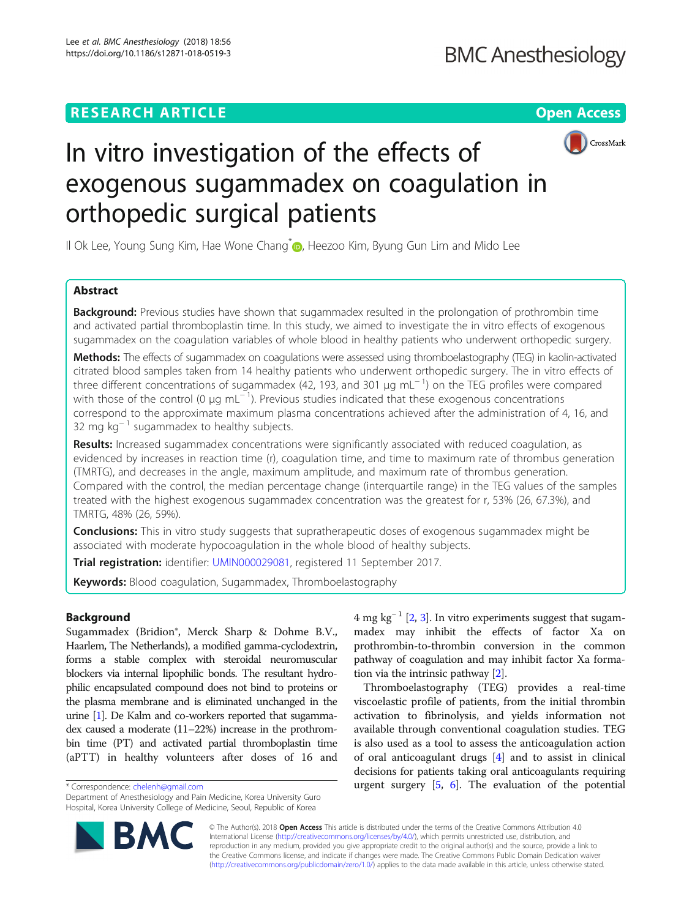# **RESEARCH ARTICLE EXECUTE: Open Access**



# In vitro investigation of the effects of exogenous sugammadex on coagulation in orthopedic surgical patients

Il Ok Lee, Young Sung Kim, Hae Wone Chang<sup>[\\*](http://orcid.org/0000-0002-0116-3229)</sup> , Heezoo Kim, Byung Gun Lim and Mido Lee

# Abstract

**Background:** Previous studies have shown that sugammadex resulted in the prolongation of prothrombin time and activated partial thromboplastin time. In this study, we aimed to investigate the in vitro effects of exogenous sugammadex on the coagulation variables of whole blood in healthy patients who underwent orthopedic surgery.

Methods: The effects of sugammadex on coagulations were assessed using thromboelastography (TEG) in kaolin-activated citrated blood samples taken from 14 healthy patients who underwent orthopedic surgery. The in vitro effects of three different concentrations of sugammadex (42, 193, and 301 μg mL<sup>−1</sup>) on the TEG profiles were compared with those of the control (0  $\mu$ g mL<sup>-1</sup>). Previous studies indicated that these exogenous concentrations correspond to the approximate maximum plasma concentrations achieved after the administration of 4, 16, and 32 mg kg<sup>-1</sup> sugammadex to healthy subjects.

Results: Increased sugammadex concentrations were significantly associated with reduced coagulation, as evidenced by increases in reaction time (r), coagulation time, and time to maximum rate of thrombus generation (TMRTG), and decreases in the angle, maximum amplitude, and maximum rate of thrombus generation. Compared with the control, the median percentage change (interquartile range) in the TEG values of the samples treated with the highest exogenous sugammadex concentration was the greatest for r, 53% (26, 67.3%), and TMRTG, 48% (26, 59%).

**Conclusions:** This in vitro study suggests that supratherapeutic doses of exogenous sugammadex might be associated with moderate hypocoagulation in the whole blood of healthy subjects.

Trial registration: identifier: [UMIN000029081,](http://www.umin.ac.jp) registered 11 September 2017.

Keywords: Blood coagulation, Sugammadex, Thromboelastography

# Background

Sugammadex (Bridion®, Merck Sharp & Dohme B.V., Haarlem, The Netherlands), a modified gamma-cyclodextrin, forms a stable complex with steroidal neuromuscular blockers via internal lipophilic bonds. The resultant hydrophilic encapsulated compound does not bind to proteins or the plasma membrane and is eliminated unchanged in the urine [[1](#page-5-0)]. De Kalm and co-workers reported that sugammadex caused a moderate (11–22%) increase in the prothrombin time (PT) and activated partial thromboplastin time (aPTT) in healthy volunteers after doses of 16 and

Department of Anesthesiology and Pain Medicine, Korea University Guro Hospital, Korea University College of Medicine, Seoul, Republic of Korea



Thromboelastography (TEG) provides a real-time viscoelastic profile of patients, from the initial thrombin activation to fibrinolysis, and yields information not available through conventional coagulation studies. TEG is also used as a tool to assess the anticoagulation action of oral anticoagulant drugs [[4\]](#page-5-0) and to assist in clinical decisions for patients taking oral anticoagulants requiring \*Correspondence: [chelenh@gmail.com](mailto:chelenh@gmail.com) urgent surgery [[5,](#page-5-0) [6](#page-5-0)]. The evaluation of the potential



© The Author(s). 2018 Open Access This article is distributed under the terms of the Creative Commons Attribution 4.0 International License [\(http://creativecommons.org/licenses/by/4.0/](http://creativecommons.org/licenses/by/4.0/)), which permits unrestricted use, distribution, and reproduction in any medium, provided you give appropriate credit to the original author(s) and the source, provide a link to the Creative Commons license, and indicate if changes were made. The Creative Commons Public Domain Dedication waiver [\(http://creativecommons.org/publicdomain/zero/1.0/](http://creativecommons.org/publicdomain/zero/1.0/)) applies to the data made available in this article, unless otherwise stated.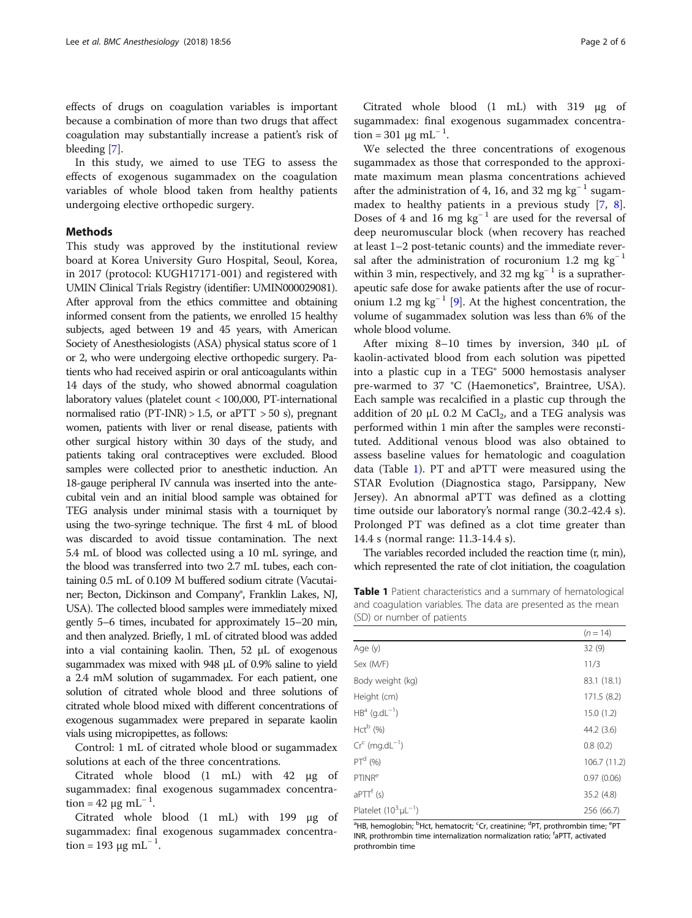<span id="page-1-0"></span>effects of drugs on coagulation variables is important because a combination of more than two drugs that affect coagulation may substantially increase a patient's risk of bleeding [\[7\]](#page-5-0).

In this study, we aimed to use TEG to assess the effects of exogenous sugammadex on the coagulation variables of whole blood taken from healthy patients undergoing elective orthopedic surgery.

# Methods

This study was approved by the institutional review board at Korea University Guro Hospital, Seoul, Korea, in 2017 (protocol: KUGH17171-001) and registered with UMIN Clinical Trials Registry (identifier: UMIN000029081). After approval from the ethics committee and obtaining informed consent from the patients, we enrolled 15 healthy subjects, aged between 19 and 45 years, with American Society of Anesthesiologists (ASA) physical status score of 1 or 2, who were undergoing elective orthopedic surgery. Patients who had received aspirin or oral anticoagulants within 14 days of the study, who showed abnormal coagulation laboratory values (platelet count < 100,000, PT-international normalised ratio (PT-INR)  $> 1.5$ , or aPTT  $> 50$  s), pregnant women, patients with liver or renal disease, patients with other surgical history within 30 days of the study, and patients taking oral contraceptives were excluded. Blood samples were collected prior to anesthetic induction. An 18-gauge peripheral IV cannula was inserted into the antecubital vein and an initial blood sample was obtained for TEG analysis under minimal stasis with a tourniquet by using the two-syringe technique. The first 4 mL of blood was discarded to avoid tissue contamination. The next 5.4 mL of blood was collected using a 10 mL syringe, and the blood was transferred into two 2.7 mL tubes, each containing 0.5 mL of 0.109 M buffered sodium citrate (Vacutainer; Becton, Dickinson and Company®, Franklin Lakes, NJ, USA). The collected blood samples were immediately mixed gently 5–6 times, incubated for approximately 15–20 min, and then analyzed. Briefly, 1 mL of citrated blood was added into a vial containing kaolin. Then, 52 μL of exogenous sugammadex was mixed with 948 μL of 0.9% saline to yield a 2.4 mM solution of sugammadex. For each patient, one solution of citrated whole blood and three solutions of citrated whole blood mixed with different concentrations of exogenous sugammadex were prepared in separate kaolin vials using micropipettes, as follows:

Control: 1 mL of citrated whole blood or sugammadex solutions at each of the three concentrations.

Citrated whole blood (1 mL) with 42 μg of sugammadex: final exogenous sugammadex concentration = 42 μg mL<sup>-1</sup>.

Citrated whole blood (1 mL) with 199 μg of sugammadex: final exogenous sugammadex concentration = 193 μg mL<sup>-1</sup>.

Citrated whole blood (1 mL) with 319 μg of sugammadex: final exogenous sugammadex concentration = 301 μg mL<sup>-1</sup>.

We selected the three concentrations of exogenous sugammadex as those that corresponded to the approximate maximum mean plasma concentrations achieved after the administration of 4, 16, and 32 mg kg<sup>-1</sup> sugammadex to healthy patients in a previous study [\[7,](#page-5-0) [8](#page-5-0)]. Doses of 4 and 16 mg  $kg^{-1}$  are used for the reversal of deep neuromuscular block (when recovery has reached at least 1–2 post-tetanic counts) and the immediate reversal after the administration of rocuronium 1.2 mg kg<sup>-1</sup> within 3 min, respectively, and 32 mg kg<sup>-1</sup> is a supratherapeutic safe dose for awake patients after the use of rocur-onium 1.2 mg kg<sup>-1</sup> [\[9](#page-5-0)]. At the highest concentration, the volume of sugammadex solution was less than 6% of the whole blood volume.

After mixing 8–10 times by inversion, 340 μL of kaolin-activated blood from each solution was pipetted into a plastic cup in a TEG® 5000 hemostasis analyser pre-warmed to 37 °C (Haemonetics<sup>®</sup>, Braintree, USA). Each sample was recalcified in a plastic cup through the addition of 20  $\mu$ L 0.2 M CaCl<sub>2</sub>, and a TEG analysis was performed within 1 min after the samples were reconstituted. Additional venous blood was also obtained to assess baseline values for hematologic and coagulation data (Table 1). PT and aPTT were measured using the STAR Evolution (Diagnostica stago, Parsippany, New Jersey). An abnormal aPTT was defined as a clotting time outside our laboratory's normal range (30.2-42.4 s). Prolonged PT was defined as a clot time greater than 14.4 s (normal range: 11.3-14.4 s).

The variables recorded included the reaction time (r, min), which represented the rate of clot initiation, the coagulation

Table 1 Patient characteristics and a summary of hematological and coagulation variables. The data are presented as the mean (SD) or number of patients

|                              | $(n = 14)$   |
|------------------------------|--------------|
| Age (y)                      | 32(9)        |
| Sex (M/F)                    | 11/3         |
| Body weight (kg)             | 83.1 (18.1)  |
| Height (cm)                  | 171.5(8.2)   |
| $HB^a$ (g.dL <sup>-1</sup> ) | 15.0(1.2)    |
| $Hct^b$ (%)                  | 44.2 (3.6)   |
| $Crc$ (mg.dL <sup>-1</sup> ) | 0.8(0.2)     |
| $PTd$ (%)                    | 106.7 (11.2) |
| PTINR <sup>e</sup>           | 0.97(0.06)   |
| $aPTT^f(s)$                  | 35.2 (4.8)   |
| Platelet $(10^3 \mu L^{-1})$ | 256 (66.7)   |

<sup>a</sup>HB, hemoglobin; <sup>b</sup>Hct, hematocrit; <sup>c</sup>Cr, creatinine; <sup>d</sup>PT, prothrombin time; <sup>e</sup>PT INR, prothrombin time internalization normalization ratio; <sup>f</sup> aPTT, activated prothrombin time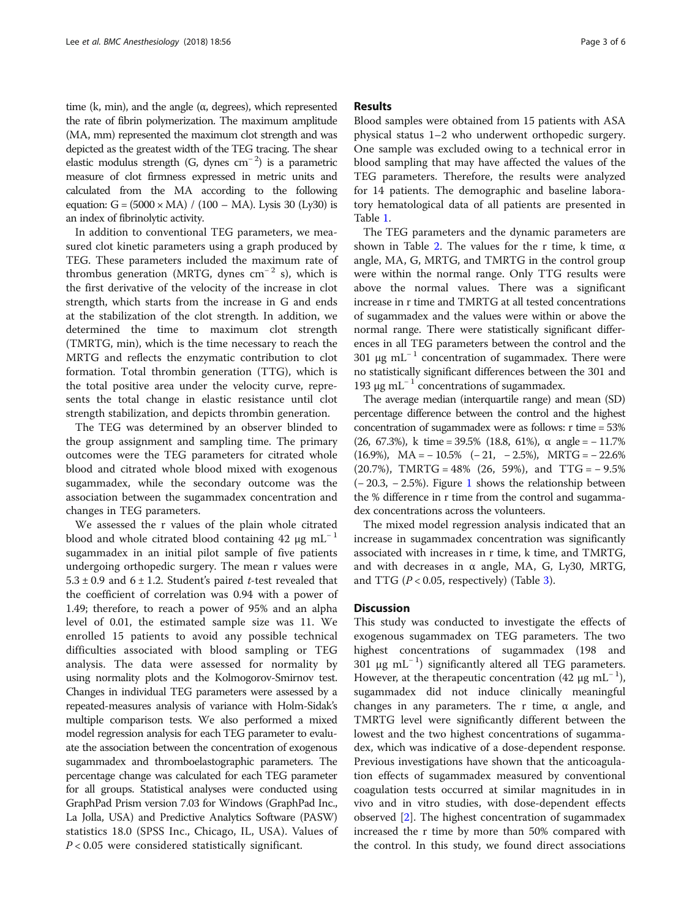time (k, min), and the angle ( $α$ , degrees), which represented the rate of fibrin polymerization. The maximum amplitude (MA, mm) represented the maximum clot strength and was depicted as the greatest width of the TEG tracing. The shear elastic modulus strength (G, dynes cm<sup>-2</sup>) is a parametric measure of clot firmness expressed in metric units and calculated from the MA according to the following equation:  $G = (5000 \times MA) / (100 - MA)$ . Lysis 30 (Ly30) is an index of fibrinolytic activity.

In addition to conventional TEG parameters, we measured clot kinetic parameters using a graph produced by TEG. These parameters included the maximum rate of thrombus generation (MRTG, dynes  $cm^{-2}$  s), which is the first derivative of the velocity of the increase in clot strength, which starts from the increase in G and ends at the stabilization of the clot strength. In addition, we determined the time to maximum clot strength (TMRTG, min), which is the time necessary to reach the MRTG and reflects the enzymatic contribution to clot formation. Total thrombin generation (TTG), which is the total positive area under the velocity curve, represents the total change in elastic resistance until clot strength stabilization, and depicts thrombin generation.

The TEG was determined by an observer blinded to the group assignment and sampling time. The primary outcomes were the TEG parameters for citrated whole blood and citrated whole blood mixed with exogenous sugammadex, while the secondary outcome was the association between the sugammadex concentration and changes in TEG parameters.

We assessed the r values of the plain whole citrated blood and whole citrated blood containing 42  $\mu$ g mL<sup>-1</sup> sugammadex in an initial pilot sample of five patients undergoing orthopedic surgery. The mean r values were  $5.3 \pm 0.9$  and  $6 \pm 1.2$ . Student's paired t-test revealed that the coefficient of correlation was 0.94 with a power of 1.49; therefore, to reach a power of 95% and an alpha level of 0.01, the estimated sample size was 11. We enrolled 15 patients to avoid any possible technical difficulties associated with blood sampling or TEG analysis. The data were assessed for normality by using normality plots and the Kolmogorov-Smirnov test. Changes in individual TEG parameters were assessed by a repeated-measures analysis of variance with Holm-Sidak's multiple comparison tests. We also performed a mixed model regression analysis for each TEG parameter to evaluate the association between the concentration of exogenous sugammadex and thromboelastographic parameters. The percentage change was calculated for each TEG parameter for all groups. Statistical analyses were conducted using GraphPad Prism version 7.03 for Windows (GraphPad Inc., La Jolla, USA) and Predictive Analytics Software (PASW) statistics 18.0 (SPSS Inc., Chicago, IL, USA). Values of  $P < 0.05$  were considered statistically significant.

# Results

Blood samples were obtained from 15 patients with ASA physical status 1–2 who underwent orthopedic surgery. One sample was excluded owing to a technical error in blood sampling that may have affected the values of the TEG parameters. Therefore, the results were analyzed for 14 patients. The demographic and baseline laboratory hematological data of all patients are presented in Table [1.](#page-1-0)

The TEG parameters and the dynamic parameters are shown in Table [2.](#page-3-0) The values for the r time, k time,  $α$ angle, MA, G, MRTG, and TMRTG in the control group were within the normal range. Only TTG results were above the normal values. There was a significant increase in r time and TMRTG at all tested concentrations of sugammadex and the values were within or above the normal range. There were statistically significant differences in all TEG parameters between the control and the 301 μg mL<sup>-1</sup> concentration of sugammadex. There were no statistically significant differences between the 301 and 193 μg mL<sup>-1</sup> concentrations of sugammadex.

The average median (interquartile range) and mean (SD) percentage difference between the control and the highest concentration of sugammadex were as follows: r time = 53% (26, 67.3%), k time =  $39.5\%$  (18.8, 61%),  $\alpha$  angle =  $-11.7\%$  $(16.9\%)$ , MA =  $-10.5\%$  ( $-21$ ,  $-2.5\%)$ , MRTG =  $-22.6\%$  $(20.7\%)$ , TMRTG = 48%  $(26, 59\%)$ , and TTG = - 9.5% (− 20.3, − 2.5%). Figure [1](#page-3-0) shows the relationship between the % difference in r time from the control and sugammadex concentrations across the volunteers.

The mixed model regression analysis indicated that an increase in sugammadex concentration was significantly associated with increases in r time, k time, and TMRTG, and with decreases in  $\alpha$  angle, MA, G, Ly30, MRTG, and TTG ( $P < 0.05$ , respectively) (Table [3\)](#page-3-0).

# **Discussion**

This study was conducted to investigate the effects of exogenous sugammadex on TEG parameters. The two highest concentrations of sugammadex (198 and 301 μg mL<sup>-1</sup>) significantly altered all TEG parameters. However, at the therapeutic concentration (42 μg mL<sup>-1</sup>), sugammadex did not induce clinically meaningful changes in any parameters. The r time,  $α$  angle, and TMRTG level were significantly different between the lowest and the two highest concentrations of sugammadex, which was indicative of a dose-dependent response. Previous investigations have shown that the anticoagulation effects of sugammadex measured by conventional coagulation tests occurred at similar magnitudes in in vivo and in vitro studies, with dose-dependent effects observed [[2\]](#page-5-0). The highest concentration of sugammadex increased the r time by more than 50% compared with the control. In this study, we found direct associations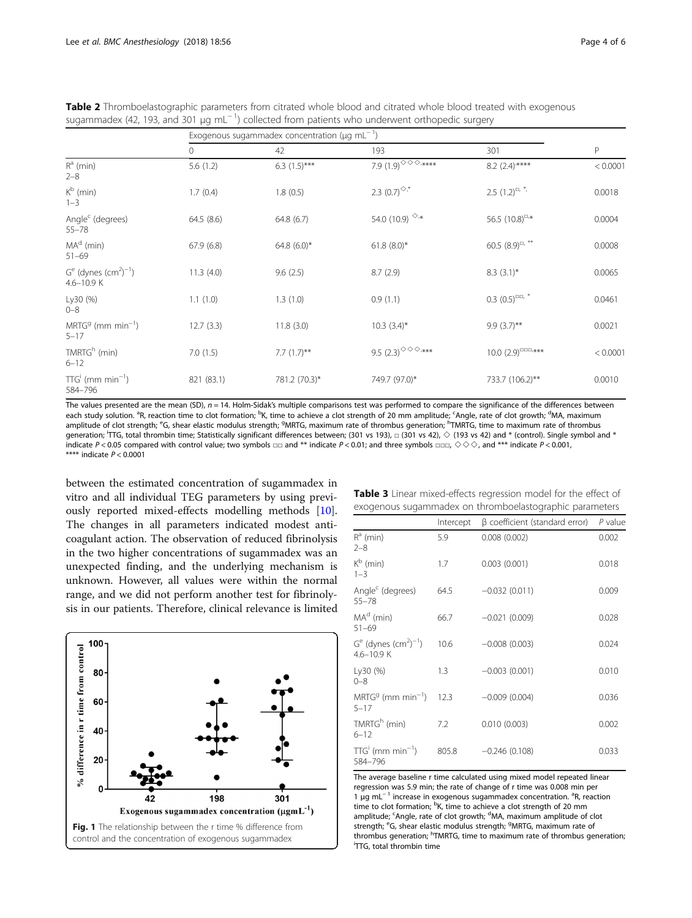|                                             | Exogenous sugammadex concentration ( $\mu$ g mL <sup>-1</sup> ) |                |                                                                          |                                            |          |
|---------------------------------------------|-----------------------------------------------------------------|----------------|--------------------------------------------------------------------------|--------------------------------------------|----------|
|                                             | 0                                                               | 42             | 193                                                                      | 301                                        | P        |
| $R^a$ (min)<br>$2 - 8$                      | 5.6(1.2)                                                        | $6.3(1.5)***$  | 7.9 $(1.9)$ $\circledcirc$ $\circledcirc$ $\circ$ $\ast\ast\ast\ast\ast$ | $8.2 (2.4)$ ****                           | < 0.0001 |
| $K^b$ (min)<br>$1 - 3$                      | 1.7(0.4)                                                        | 1.8(0.5)       | 2.3 $(0.7)^{\diamond,*}$                                                 | $2.5$ $(1.2)^{\square, *}$                 | 0.0018   |
| Angle <sup>c</sup> (degrees)<br>$55 - 78$   | 64.5(8.6)                                                       | 64.8(6.7)      | 54.0 (10.9) $\circ$ *                                                    | 56.5 $(10.8)^{\square,*}$                  | 0.0004   |
| $MAd$ (min)<br>$51 - 69$                    | 67.9(6.8)                                                       | 64.8 $(6.0)^*$ | $61.8(8.0)$ *                                                            | 60.5 $(8.9)^{\square, **}$                 | 0.0008   |
| $Ge$ (dynes $(cm2)-1)$<br>$4.6 - 10.9$ K    | 11.3(4.0)                                                       | 9.6(2.5)       | 8.7(2.9)                                                                 | $8.3(3.1)$ *                               | 0.0065   |
| Ly30 (%)<br>$0 - 8$                         | 1.1(1.0)                                                        | 1.3(1.0)       | 0.9(1.1)                                                                 | $0.3$ $(0.5)^{\square\square}$ , *         | 0.0461   |
| $MRTGg$ (mm min <sup>-1</sup> )<br>$5 - 17$ | 12.7(3.3)                                                       | 11.8(3.0)      | $10.3 (3.4)^*$                                                           | $9.9(3.7)$ **                              | 0.0021   |
| TMRTG <sup>h</sup> (min)<br>$6 - 12$        | 7.0(1.5)                                                        | 7.7 $(1.7)$ ** | 9.5 (2.3) $^{\diamond\diamond\diamond,***}$                              | $10.0 (2.9)^{\square \square \square, **}$ | < 0.0001 |
| $TTGi$ (mm min <sup>-1</sup> )<br>584-796   | 821 (83.1)                                                      | 781.2 (70.3)*  | 749.7 (97.0)*                                                            | 733.7 (106.2)**                            | 0.0010   |

<span id="page-3-0"></span>Table 2 Thromboelastographic parameters from citrated whole blood and citrated whole blood treated with exogenous sugammadex (42, 193, and 301  $\mu$ g mL<sup>-1</sup>) collected from patients who underwent orthopedic surgery

The values presented are the mean (SD),  $n = 14$ . Holm-Sidak's multiple comparisons test was performed to compare the significance of the differences between each study solution. <sup>a</sup>R, reaction time to clot formation; <sup>b</sup>K, time to achieve a clot strength of 20 mm amplitude; ʿAngle, rate of clot growth; <sup>d</sup>MA, maximum amplitude of clot strength; <sup>e</sup>G, shear elastic modulus strength; <sup>g</sup>MRTG, maximum rate of thrombus generation; <sup>h</sup>TMRTG, time to maximum rate of thrombus generation; HTG, total thrombin time; Statistically significant differences between; (301 vs 193), □ (301 vs 42), ◇ (193 vs 42) and \* (control). Single symbol and \* indicate P < 0.05 compared with control value; two symbols □□ and \*\* indicate P < 0.01; and three symbols □□□, ◇ ◇ >, and \*\*\* indicate P < 0.001, \*\*\*\* indicate  $P < 0.0001$ 

between the estimated concentration of sugammadex in vitro and all individual TEG parameters by using previously reported mixed-effects modelling methods [\[10](#page-5-0)]. The changes in all parameters indicated modest anticoagulant action. The observation of reduced fibrinolysis in the two higher concentrations of sugammadex was an unexpected finding, and the underlying mechanism is unknown. However, all values were within the normal range, and we did not perform another test for fibrinolysis in our patients. Therefore, clinical relevance is limited



| Table 3 Linear mixed-effects regression model for the effect of |  |
|-----------------------------------------------------------------|--|
| exogenous sugammadex on thromboelastographic parameters         |  |

|                                                              | Intercept | $\beta$ coefficient (standard error) | $P$ value |
|--------------------------------------------------------------|-----------|--------------------------------------|-----------|
| $R^a$ (min)<br>$2 - 8$                                       | 5.9       | 0.008(0.002)                         | 0.002     |
| $K^b$ (min)<br>$1 - 3$                                       | 1.7       | 0.003(0.001)                         | 0.018     |
| Angle <sup>c</sup> (degrees)<br>$55 - 78$                    | 64.5      | $-0.032(0.011)$                      | 0.009     |
| $MAd$ (min)<br>$51 - 69$                                     | 66.7      | $-0.021(0.009)$                      | 0.028     |
| $Ge$ (dynes (cm <sup>2</sup> ) <sup>-1</sup> )<br>4.6-10.9 K | 10.6      | $-0.008(0.003)$                      | 0.024     |
| Ly30 (%)<br>$0 - 8$                                          | 1.3       | $-0.003(0.001)$                      | 0.010     |
| $MRTGg$ (mm min <sup>-1</sup> )<br>$5 - 17$                  | 12.3      | $-0.009(0.004)$                      | 0.036     |
| TMRTG <sup>h</sup> (min)<br>$6 - 12$                         | 7.2       | 0.010(0.003)                         | 0.002     |
| $TTG'$ (mm min <sup>-1</sup> )<br>584-796                    | 805.8     | $-0.246(0.108)$                      | 0.033     |

The average baseline r time calculated using mixed model repeated linear regression was 5.9 min; the rate of change of r time was 0.008 min per 1 µg mL<sup>−1</sup> increase in exogenous sugammadex concentration. <sup>a</sup>R, reaction time to clot formation; <sup>b</sup>K, time to achieve a clot strength of 20 mm amplitude; <sup>c</sup>Angle, rate of clot growth; <sup>d</sup>MA, maximum amplitude of clot strength; <sup>e</sup>G, shear elastic modulus strength; <sup>g</sup>MRTG, maximum rate of thrombus generation; <sup>h</sup>TMRTG, time to maximum rate of thrombus generation;<br><sup>i</sup>TTG, total thrombin time <sup>i</sup>TTG, total thrombin time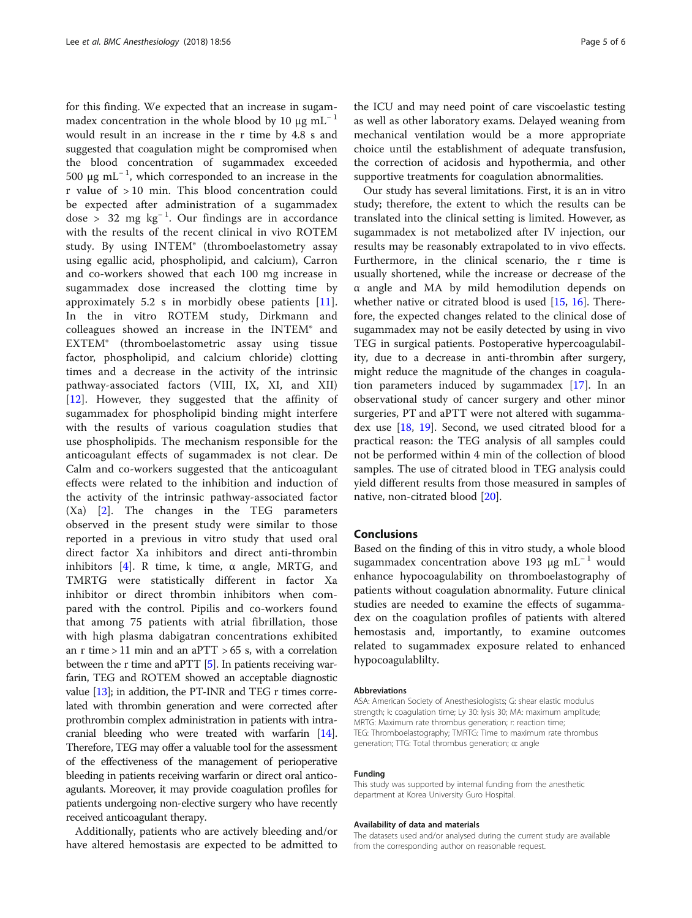for this finding. We expected that an increase in sugammadex concentration in the whole blood by 10  $\mu$ g mL<sup>-1</sup> would result in an increase in the r time by 4.8 s and suggested that coagulation might be compromised when the blood concentration of sugammadex exceeded 500 μg mL<sup>-1</sup>, which corresponded to an increase in the r value of > 10 min. This blood concentration could be expected after administration of a sugammadex dose > 32 mg  $kg^{-1}$ . Our findings are in accordance with the results of the recent clinical in vivo ROTEM study. By using INTEM® (thromboelastometry assay using egallic acid, phospholipid, and calcium), Carron and co-workers showed that each 100 mg increase in sugammadex dose increased the clotting time by approximately 5.2 s in morbidly obese patients [\[11](#page-5-0)]. In the in vitro ROTEM study, Dirkmann and colleagues showed an increase in the INTEM® and EXTEM® (thromboelastometric assay using tissue factor, phospholipid, and calcium chloride) clotting times and a decrease in the activity of the intrinsic pathway-associated factors (VIII, IX, XI, and XII) [[12\]](#page-5-0). However, they suggested that the affinity of sugammadex for phospholipid binding might interfere with the results of various coagulation studies that use phospholipids. The mechanism responsible for the anticoagulant effects of sugammadex is not clear. De Calm and co-workers suggested that the anticoagulant effects were related to the inhibition and induction of the activity of the intrinsic pathway-associated factor (Xa) [\[2](#page-5-0)]. The changes in the TEG parameters observed in the present study were similar to those reported in a previous in vitro study that used oral direct factor Xa inhibitors and direct anti-thrombin inhibitors [[4\]](#page-5-0). R time, k time,  $\alpha$  angle, MRTG, and TMRTG were statistically different in factor Xa inhibitor or direct thrombin inhibitors when compared with the control. Pipilis and co-workers found that among 75 patients with atrial fibrillation, those with high plasma dabigatran concentrations exhibited an r time  $> 11$  min and an aPTT  $> 65$  s, with a correlation between the r time and aPTT [\[5](#page-5-0)]. In patients receiving warfarin, TEG and ROTEM showed an acceptable diagnostic value  $[13]$  $[13]$ ; in addition, the PT-INR and TEG r times correlated with thrombin generation and were corrected after prothrombin complex administration in patients with intracranial bleeding who were treated with warfarin [\[14](#page-5-0)]. Therefore, TEG may offer a valuable tool for the assessment of the effectiveness of the management of perioperative bleeding in patients receiving warfarin or direct oral anticoagulants. Moreover, it may provide coagulation profiles for patients undergoing non-elective surgery who have recently received anticoagulant therapy.

Additionally, patients who are actively bleeding and/or have altered hemostasis are expected to be admitted to the ICU and may need point of care viscoelastic testing as well as other laboratory exams. Delayed weaning from mechanical ventilation would be a more appropriate choice until the establishment of adequate transfusion, the correction of acidosis and hypothermia, and other supportive treatments for coagulation abnormalities.

Our study has several limitations. First, it is an in vitro study; therefore, the extent to which the results can be translated into the clinical setting is limited. However, as sugammadex is not metabolized after IV injection, our results may be reasonably extrapolated to in vivo effects. Furthermore, in the clinical scenario, the r time is usually shortened, while the increase or decrease of the α angle and MA by mild hemodilution depends on whether native or citrated blood is used  $[15, 16]$  $[15, 16]$  $[15, 16]$  $[15, 16]$  $[15, 16]$ . Therefore, the expected changes related to the clinical dose of sugammadex may not be easily detected by using in vivo TEG in surgical patients. Postoperative hypercoagulability, due to a decrease in anti-thrombin after surgery, might reduce the magnitude of the changes in coagulation parameters induced by sugammadex [\[17](#page-5-0)]. In an observational study of cancer surgery and other minor surgeries, PT and aPTT were not altered with sugammadex use [[18](#page-5-0), [19\]](#page-5-0). Second, we used citrated blood for a practical reason: the TEG analysis of all samples could not be performed within 4 min of the collection of blood samples. The use of citrated blood in TEG analysis could yield different results from those measured in samples of native, non-citrated blood [[20\]](#page-5-0).

# **Conclusions**

Based on the finding of this in vitro study, a whole blood sugammadex concentration above 193 μg mL<sup>-1</sup> would enhance hypocoagulability on thromboelastography of patients without coagulation abnormality. Future clinical studies are needed to examine the effects of sugammadex on the coagulation profiles of patients with altered hemostasis and, importantly, to examine outcomes related to sugammadex exposure related to enhanced hypocoagulablilty.

#### Abbreviations

ASA: American Society of Anesthesiologists; G: shear elastic modulus strength; k: coagulation time; Ly 30: lysis 30; MA: maximum amplitude; MRTG: Maximum rate thrombus generation; r: reaction time; TEG: Thromboelastography; TMRTG: Time to maximum rate thrombus generation; TTG: Total thrombus generation; α: angle

#### Funding

This study was supported by internal funding from the anesthetic department at Korea University Guro Hospital.

#### Availability of data and materials

The datasets used and/or analysed during the current study are available from the corresponding author on reasonable request.